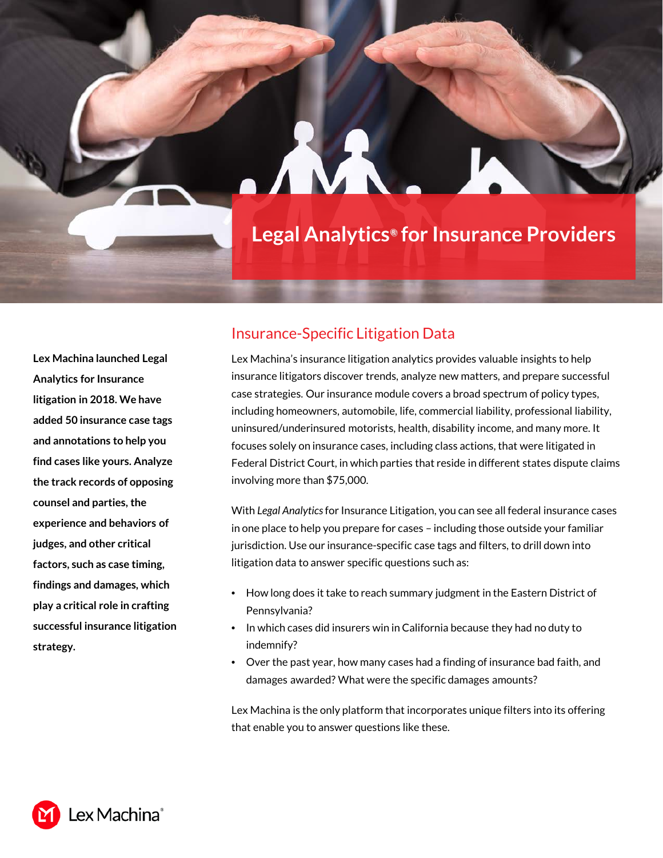# **Legal Analytics***®* **for Insurance Providers**

**Lex Machina launched Legal Analytics for Insurance litigation in 2018. We have added 50 insurance case tags and annotations to help you find cases like yours. Analyze the track records of opposing counsel and parties, the experience and behaviors of judges, and other critical factors, such as case timing, findings and damages, which play a critical role in crafting successful insurance litigation strategy.**

## Insurance-Specific Litigation Data

Lex Machina's insurance litigation analytics provides valuable insights to help insurance litigators discover trends, analyze new matters, and prepare successful case strategies. Our insurance module covers a broad spectrum of policy types, including homeowners, automobile, life, commercial liability, professional liability, uninsured/underinsured motorists, health, disability income, and many more. It focuses solely on insurance cases, including class actions, that were litigated in Federal District Court, in which parties that reside in different states dispute claims involving more than \$75,000.

With *Legal Analytics* for Insurance Litigation, you can see all federal insurance cases in one place to help you prepare for cases – including those outside your familiar jurisdiction. Use our insurance-specific case tags and filters, to drill down into litigation data to answer specific questions such as:

- How long does it take to reach summary judgment in the Eastern District of Pennsylvania?
- In which cases did insurers win in California because they had no duty to indemnify?
- Over the past year, how many cases had a finding of insurance bad faith, and damages awarded? What were the specific damages amounts?

Lex Machina is the only platform that incorporates unique filters into its offering that enable you to answer questions like these.